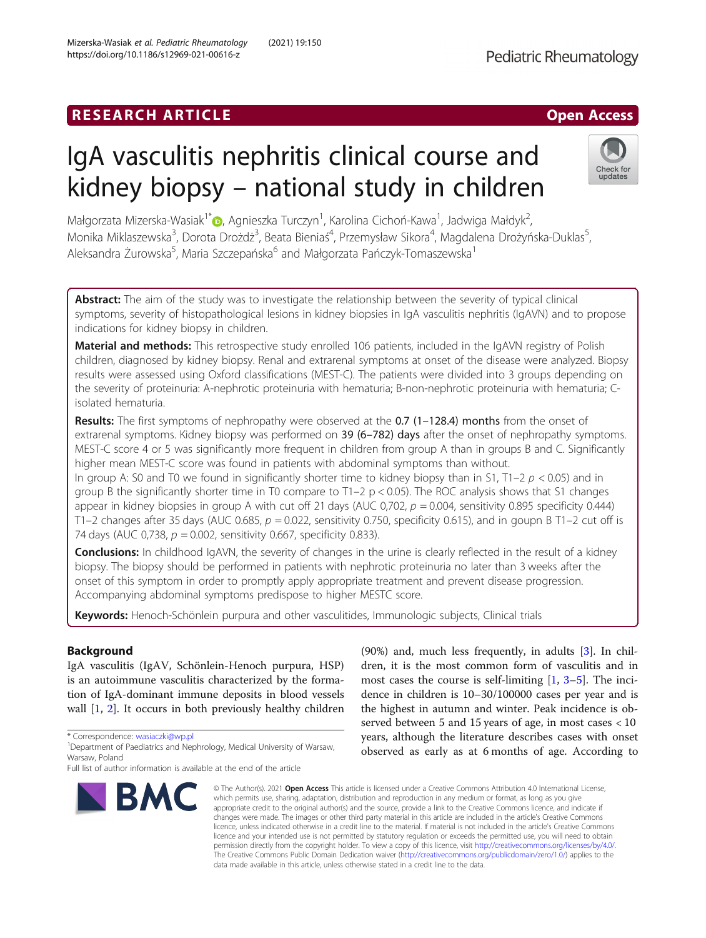## **RESEARCH ARTICLE Example 2018 12:00 Department 2018 12:00 Department 2018 12:00 Department 2018 12:00 Department 2018 12:00 Department 2018 12:00 Department 2018 12:00 Department 2018 12:00 Department 2018 12:00 Departm**

# IgA vasculitis nephritis clinical course and kidney biopsy – national study in children

Małgorzata Mizerska-Wasiak<sup>1\*</sup>®[,](http://orcid.org/0000-0003-0063-8699) Agnieszka Turczyn<sup>1</sup>, Karolina Cichoń-Kawa<sup>1</sup>, Jadwiga Małdyk<sup>2</sup> , Monika Miklaszewska<sup>3</sup>, Dorota Drożdż<sup>3</sup>, Beata Bieniaś<sup>4</sup>, Przemysław Sikora<sup>4</sup>, Magdalena Drożyńska-Duklas<sup>5</sup> , Aleksandra Żurowska<sup>5</sup>, Maria Szczepańska<sup>6</sup> and Małgorzata Pańczyk-Tomaszewska<sup>1</sup>

**Abstract:** The aim of the study was to investigate the relationship between the severity of typical clinical symptoms, severity of histopathological lesions in kidney biopsies in IgA vasculitis nephritis (IgAVN) and to propose indications for kidney biopsy in children.

Material and methods: This retrospective study enrolled 106 patients, included in the IgAVN registry of Polish children, diagnosed by kidney biopsy. Renal and extrarenal symptoms at onset of the disease were analyzed. Biopsy results were assessed using Oxford classifications (MEST-C). The patients were divided into 3 groups depending on the severity of proteinuria: A-nephrotic proteinuria with hematuria; B-non-nephrotic proteinuria with hematuria; Cisolated hematuria.

Results: The first symptoms of nephropathy were observed at the 0.7 (1-128.4) months from the onset of extrarenal symptoms. Kidney biopsy was performed on 39 (6–782) days after the onset of nephropathy symptoms. MEST-C score 4 or 5 was significantly more frequent in children from group A than in groups B and C. Significantly higher mean MEST-C score was found in patients with abdominal symptoms than without.

In group A: S0 and T0 we found in significantly shorter time to kidney biopsy than in S1, T1–2  $p < 0.05$ ) and in group B the significantly shorter time in T0 compare to T1–2 p < 0.05). The ROC analysis shows that S1 changes appear in kidney biopsies in group A with cut off 21 days (AUC 0,702,  $p = 0.004$ , sensitivity 0.895 specificity 0.444) T1–2 changes after 35 days (AUC 0.685,  $p = 0.022$ , sensitivity 0.750, specificity 0.615), and in goupn B T1–2 cut off is 74 days (AUC 0,738,  $p = 0.002$ , sensitivity 0.667, specificity 0.833).

**Conclusions:** In childhood IgAVN, the severity of changes in the urine is clearly reflected in the result of a kidney biopsy. The biopsy should be performed in patients with nephrotic proteinuria no later than 3 weeks after the onset of this symptom in order to promptly apply appropriate treatment and prevent disease progression. Accompanying abdominal symptoms predispose to higher MESTC score.

Keywords: Henoch-Schönlein purpura and other vasculitides, Immunologic subjects, Clinical trials

### Background

IgA vasculitis (IgAV, Schönlein-Henoch purpura, HSP) is an autoimmune vasculitis characterized by the formation of IgA-dominant immune deposits in blood vessels wall  $[1, 2]$  $[1, 2]$  $[1, 2]$  $[1, 2]$  $[1, 2]$ . It occurs in both previously healthy children

\* Correspondence: [wasiaczki@wp.pl](mailto:wasiaczki@wp.pl) <sup>1</sup>

#### © The Author(s), 2021 **Open Access** This article is licensed under a Creative Commons Attribution 4.0 International License, which permits use, sharing, adaptation, distribution and reproduction in any medium or format, as long as you give appropriate credit to the original author(s) and the source, provide a link to the Creative Commons licence, and indicate if changes were made. The images or other third party material in this article are included in the article's Creative Commons licence, unless indicated otherwise in a credit line to the material. If material is not included in the article's Creative Commons licence and your intended use is not permitted by statutory regulation or exceeds the permitted use, you will need to obtain permission directly from the copyright holder. To view a copy of this licence, visit [http://creativecommons.org/licenses/by/4.0/.](http://creativecommons.org/licenses/by/4.0/) The Creative Commons Public Domain Dedication waiver [\(http://creativecommons.org/publicdomain/zero/1.0/](http://creativecommons.org/publicdomain/zero/1.0/)) applies to the data made available in this article, unless otherwise stated in a credit line to the data.

(90%) and, much less frequently, in adults [\[3](#page-8-0)]. In children, it is the most common form of vasculitis and in most cases the course is self-limiting [\[1,](#page-7-0) [3](#page-8-0)–[5](#page-8-0)]. The incidence in children is 10–30/100000 cases per year and is the highest in autumn and winter. Peak incidence is observed between 5 and 15 years of age, in most cases < 10 years, although the literature describes cases with onset observed as early as at 6 months of age. According to







<sup>&</sup>lt;sup>1</sup> Department of Paediatrics and Nephrology, Medical University of Warsaw, Warsaw, Poland

Full list of author information is available at the end of the article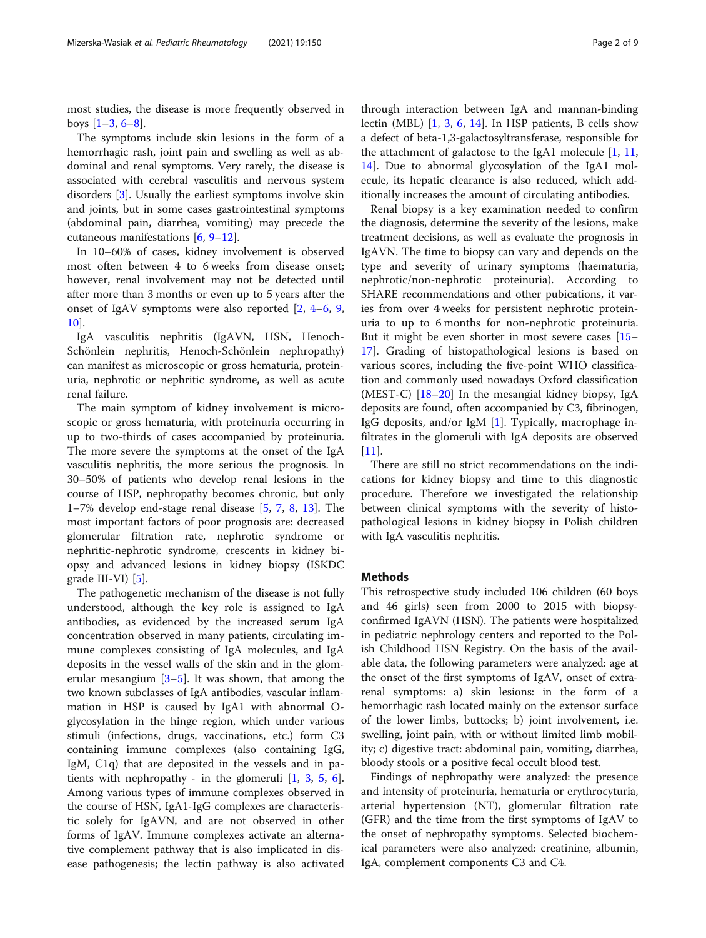most studies, the disease is more frequently observed in boys  $[1-3, 6-8]$  $[1-3, 6-8]$  $[1-3, 6-8]$  $[1-3, 6-8]$  $[1-3, 6-8]$  $[1-3, 6-8]$  $[1-3, 6-8]$ .

The symptoms include skin lesions in the form of a hemorrhagic rash, joint pain and swelling as well as abdominal and renal symptoms. Very rarely, the disease is associated with cerebral vasculitis and nervous system disorders [[3\]](#page-8-0). Usually the earliest symptoms involve skin and joints, but in some cases gastrointestinal symptoms (abdominal pain, diarrhea, vomiting) may precede the cutaneous manifestations [\[6](#page-8-0), [9](#page-8-0)–[12\]](#page-8-0).

In 10–60% of cases, kidney involvement is observed most often between 4 to 6 weeks from disease onset; however, renal involvement may not be detected until after more than 3 months or even up to 5 years after the onset of IgAV symptoms were also reported [[2,](#page-7-0) [4](#page-8-0)–[6](#page-8-0), [9](#page-8-0), [10\]](#page-8-0).

IgA vasculitis nephritis (IgAVN, HSN, Henoch-Schönlein nephritis, Henoch-Schönlein nephropathy) can manifest as microscopic or gross hematuria, proteinuria, nephrotic or nephritic syndrome, as well as acute renal failure.

The main symptom of kidney involvement is microscopic or gross hematuria, with proteinuria occurring in up to two-thirds of cases accompanied by proteinuria. The more severe the symptoms at the onset of the IgA vasculitis nephritis, the more serious the prognosis. In 30–50% of patients who develop renal lesions in the course of HSP, nephropathy becomes chronic, but only 1–7% develop end-stage renal disease [[5,](#page-8-0) [7,](#page-8-0) [8,](#page-8-0) [13\]](#page-8-0). The most important factors of poor prognosis are: decreased glomerular filtration rate, nephrotic syndrome or nephritic-nephrotic syndrome, crescents in kidney biopsy and advanced lesions in kidney biopsy (ISKDC grade III-VI) [[5\]](#page-8-0).

The pathogenetic mechanism of the disease is not fully understood, although the key role is assigned to IgA antibodies, as evidenced by the increased serum IgA concentration observed in many patients, circulating immune complexes consisting of IgA molecules, and IgA deposits in the vessel walls of the skin and in the glomerular mesangium  $[3-5]$  $[3-5]$  $[3-5]$  $[3-5]$ . It was shown, that among the two known subclasses of IgA antibodies, vascular inflammation in HSP is caused by IgA1 with abnormal Oglycosylation in the hinge region, which under various stimuli (infections, drugs, vaccinations, etc.) form C3 containing immune complexes (also containing IgG, IgM, C1q) that are deposited in the vessels and in patients with nephropathy - in the glomeruli  $[1, 3, 5, 6]$  $[1, 3, 5, 6]$  $[1, 3, 5, 6]$  $[1, 3, 5, 6]$  $[1, 3, 5, 6]$  $[1, 3, 5, 6]$  $[1, 3, 5, 6]$  $[1, 3, 5, 6]$ . Among various types of immune complexes observed in the course of HSN, IgA1-IgG complexes are characteristic solely for IgAVN, and are not observed in other forms of IgAV. Immune complexes activate an alternative complement pathway that is also implicated in disease pathogenesis; the lectin pathway is also activated

through interaction between IgA and mannan-binding lectin (MBL) [\[1](#page-7-0), [3,](#page-8-0) [6,](#page-8-0) [14](#page-8-0)]. In HSP patients, B cells show a defect of beta-1,3-galactosyltransferase, responsible for the attachment of galactose to the IgA1 molecule [\[1](#page-7-0), [11](#page-8-0), [14\]](#page-8-0). Due to abnormal glycosylation of the IgA1 molecule, its hepatic clearance is also reduced, which additionally increases the amount of circulating antibodies.

Renal biopsy is a key examination needed to confirm the diagnosis, determine the severity of the lesions, make treatment decisions, as well as evaluate the prognosis in IgAVN. The time to biopsy can vary and depends on the type and severity of urinary symptoms (haematuria, nephrotic/non-nephrotic proteinuria). According to SHARE recommendations and other pubications, it varies from over 4 weeks for persistent nephrotic proteinuria to up to 6 months for non-nephrotic proteinuria. But it might be even shorter in most severe cases [[15](#page-8-0)– [17\]](#page-8-0). Grading of histopathological lesions is based on various scores, including the five-point WHO classification and commonly used nowadays Oxford classification (MEST-C)  $[18-20]$  $[18-20]$  $[18-20]$  $[18-20]$  $[18-20]$  In the mesangial kidney biopsy, IgA deposits are found, often accompanied by C3, fibrinogen, IgG deposits, and/or IgM [\[1](#page-7-0)]. Typically, macrophage infiltrates in the glomeruli with IgA deposits are observed  $[11]$  $[11]$ .

There are still no strict recommendations on the indications for kidney biopsy and time to this diagnostic procedure. Therefore we investigated the relationship between clinical symptoms with the severity of histopathological lesions in kidney biopsy in Polish children with IgA vasculitis nephritis.

#### Methods

This retrospective study included 106 children (60 boys and 46 girls) seen from 2000 to 2015 with biopsyconfirmed IgAVN (HSN). The patients were hospitalized in pediatric nephrology centers and reported to the Polish Childhood HSN Registry. On the basis of the available data, the following parameters were analyzed: age at the onset of the first symptoms of IgAV, onset of extrarenal symptoms: a) skin lesions: in the form of a hemorrhagic rash located mainly on the extensor surface of the lower limbs, buttocks; b) joint involvement, i.e. swelling, joint pain, with or without limited limb mobility; c) digestive tract: abdominal pain, vomiting, diarrhea, bloody stools or a positive fecal occult blood test.

Findings of nephropathy were analyzed: the presence and intensity of proteinuria, hematuria or erythrocyturia, arterial hypertension (NT), glomerular filtration rate (GFR) and the time from the first symptoms of IgAV to the onset of nephropathy symptoms. Selected biochemical parameters were also analyzed: creatinine, albumin, IgA, complement components C3 and C4.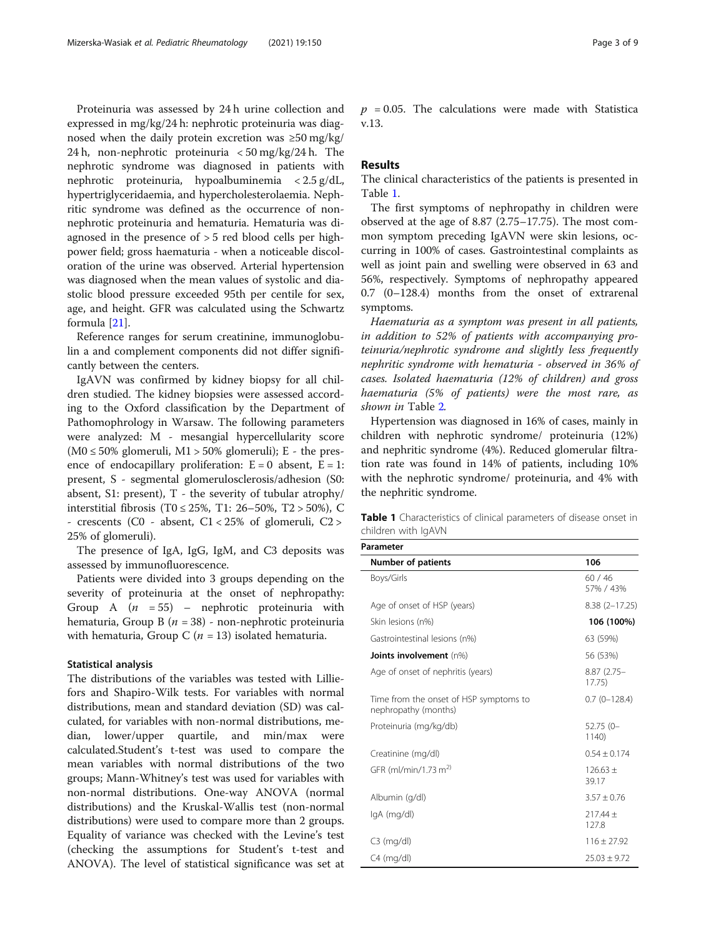Proteinuria was assessed by 24 h urine collection and expressed in mg/kg/24 h: nephrotic proteinuria was diagnosed when the daily protein excretion was ≥50 mg/kg/ 24 h, non-nephrotic proteinuria < 50 mg/kg/24 h. The nephrotic syndrome was diagnosed in patients with nephrotic proteinuria, hypoalbuminemia < 2.5 g/dL, hypertriglyceridaemia, and hypercholesterolaemia. Nephritic syndrome was defined as the occurrence of nonnephrotic proteinuria and hematuria. Hematuria was diagnosed in the presence of > 5 red blood cells per highpower field; gross haematuria - when a noticeable discoloration of the urine was observed. Arterial hypertension was diagnosed when the mean values of systolic and diastolic blood pressure exceeded 95th per centile for sex, age, and height. GFR was calculated using the Schwartz formula [[21\]](#page-8-0).

Reference ranges for serum creatinine, immunoglobulin a and complement components did not differ significantly between the centers.

IgAVN was confirmed by kidney biopsy for all children studied. The kidney biopsies were assessed according to the Oxford classification by the Department of Pathomophrology in Warsaw. The following parameters were analyzed: M - mesangial hypercellularity score  $(M0 \le 50\%$  glomeruli, M1 > 50% glomeruli); E - the presence of endocapillary proliferation:  $E = 0$  absent,  $E = 1$ : present, S - segmental glomerulosclerosis/adhesion (S0: absent, S1: present),  $T$  - the severity of tubular atrophy/ interstitial fibrosis (T0 ≤ 25%, T1: 26–50%, T2 > 50%), C - crescents (C0 - absent,  $C1 < 25\%$  of glomeruli,  $C2 >$ 25% of glomeruli).

The presence of IgA, IgG, IgM, and C3 deposits was assessed by immunofluorescence.

Patients were divided into 3 groups depending on the severity of proteinuria at the onset of nephropathy: Group A  $(n = 55)$  – nephrotic proteinuria with hematuria, Group B ( $n = 38$ ) - non-nephrotic proteinuria with hematuria, Group C ( $n = 13$ ) isolated hematuria.

#### Statistical analysis

The distributions of the variables was tested with Lilliefors and Shapiro-Wilk tests. For variables with normal distributions, mean and standard deviation (SD) was calculated, for variables with non-normal distributions, median, lower/upper quartile, and min/max were calculated.Student's t-test was used to compare the mean variables with normal distributions of the two groups; Mann-Whitney's test was used for variables with non-normal distributions. One-way ANOVA (normal distributions) and the Kruskal-Wallis test (non-normal distributions) were used to compare more than 2 groups. Equality of variance was checked with the Levine's test (checking the assumptions for Student's t-test and ANOVA). The level of statistical significance was set at

 $p = 0.05$ . The calculations were made with Statistica v.13.

#### Results

The clinical characteristics of the patients is presented in Table 1.

The first symptoms of nephropathy in children were observed at the age of 8.87 (2.75–17.75). The most common symptom preceding IgAVN were skin lesions, occurring in 100% of cases. Gastrointestinal complaints as well as joint pain and swelling were observed in 63 and 56%, respectively. Symptoms of nephropathy appeared 0.7 (0–128.4) months from the onset of extrarenal symptoms.

Haematuria as a symptom was present in all patients, in addition to 52% of patients with accompanying proteinuria/nephrotic syndrome and slightly less frequently nephritic syndrome with hematuria - observed in 36% of cases. Isolated haematuria (12% of children) and gross haematuria (5% of patients) were the most rare, as shown in Table [2](#page-3-0).

Hypertension was diagnosed in 16% of cases, mainly in children with nephrotic syndrome/ proteinuria (12%) and nephritic syndrome (4%). Reduced glomerular filtration rate was found in 14% of patients, including 10% with the nephrotic syndrome/ proteinuria, and 4% with the nephritic syndrome.

Table 1 Characteristics of clinical parameters of disease onset in children with IgAVN

| <b>Number of patients</b>                                      | 106                    |
|----------------------------------------------------------------|------------------------|
| Boys/Girls                                                     | 60/46<br>57% / 43%     |
| Age of onset of HSP (years)                                    | $8.38(2 - 17.25)$      |
| Skin lesions (n%)                                              | 106 (100%)             |
| Gastrointestinal lesions (n%)                                  | 63 (59%)               |
| Joints involvement (n%)                                        | 56 (53%)               |
| Age of onset of nephritis (years)                              | $8.87(2.75 -$<br>17.75 |
| Time from the onset of HSP symptoms to<br>nephropathy (months) | $0.7(0-128.4)$         |
| Proteinuria (mg/kg/db)                                         | $52.75(0 -$<br>1140)   |
| Creatinine (mg/dl)                                             | $0.54 + 0.174$         |
| GFR (ml/min/1.73 m <sup>2)</sup>                               | $126.63 +$<br>39.17    |
| Albumin (g/dl)                                                 | $3.57 \pm 0.76$        |
| lgA (mg/dl)                                                    | $217.44 +$<br>127.8    |
| $C3$ (mg/dl)                                                   | $116 + 27.92$          |
| $C4 \text{ (mq/dl)}$                                           | $25.03 + 9.72$         |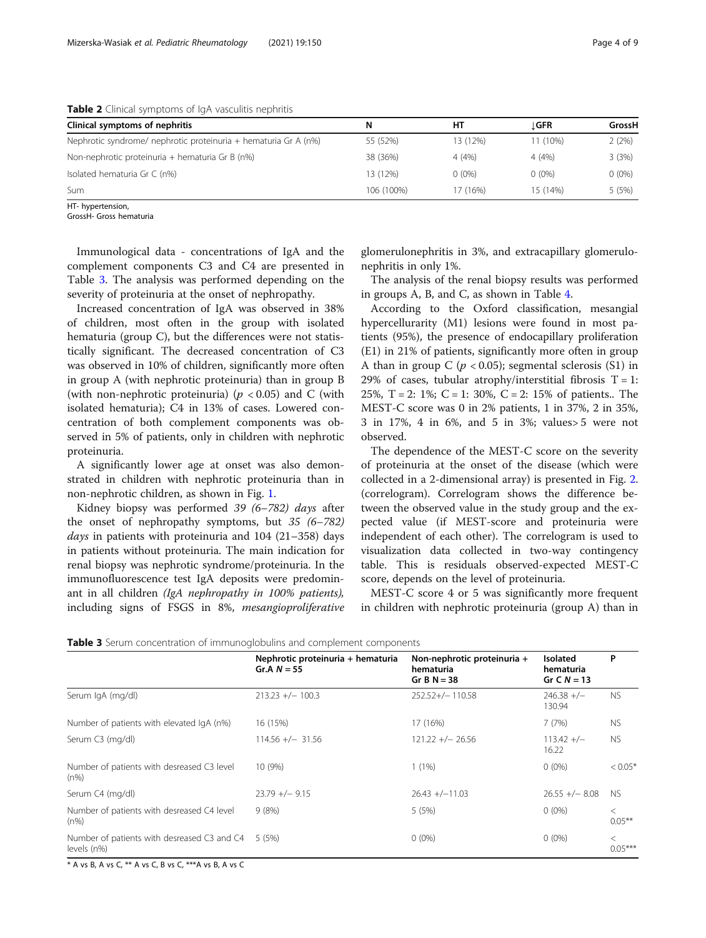<span id="page-3-0"></span>Table 2 Clinical symptoms of IgA vasculitis nephritis

| Clinical symptoms of nephritis                                  | N.         | нт       | ⊥GFR     | GrossH   |
|-----------------------------------------------------------------|------------|----------|----------|----------|
| Nephrotic syndrome/ nephrotic proteinuria + hematuria Gr A (n%) | 55 (52%)   | 13 (12%) | 11 (10%) | 2(2%)    |
| Non-nephrotic proteinuria + hematuria Gr B (n%)                 | 38 (36%)   | 4(4%)    | 4(4%)    | 3(3%)    |
| Isolated hematuria Gr C (n%)                                    | 13 (12%)   | $0(0\%)$ | $0(0\%)$ | $0(0\%)$ |
| Sum                                                             | 106 (100%) | 17 (16%) | 15 (14%) | 5 (5%)   |

HT- hypertension,

GrossH- Gross hematuria

Immunological data - concentrations of IgA and the complement components C3 and C4 are presented in Table 3. The analysis was performed depending on the severity of proteinuria at the onset of nephropathy.

Increased concentration of IgA was observed in 38% of children, most often in the group with isolated hematuria (group C), but the differences were not statistically significant. The decreased concentration of C3 was observed in 10% of children, significantly more often in group A (with nephrotic proteinuria) than in group B (with non-nephrotic proteinuria) ( $p < 0.05$ ) and C (with isolated hematuria); C4 in 13% of cases. Lowered concentration of both complement components was observed in 5% of patients, only in children with nephrotic proteinuria.

A significantly lower age at onset was also demonstrated in children with nephrotic proteinuria than in non-nephrotic children, as shown in Fig. [1.](#page-4-0)

Kidney biopsy was performed 39 (6–782) days after the onset of nephropathy symptoms, but 35 (6–782) *days* in patients with proteinuria and  $104$  (21–358) days in patients without proteinuria. The main indication for renal biopsy was nephrotic syndrome/proteinuria. In the immunofluorescence test IgA deposits were predominant in all children (IgA nephropathy in 100% patients), including signs of FSGS in 8%, mesangioproliferative glomerulonephritis in 3%, and extracapillary glomerulonephritis in only 1%.

The analysis of the renal biopsy results was performed in groups A, B, and C, as shown in Table [4](#page-4-0).

According to the Oxford classification, mesangial hypercellurarity (M1) lesions were found in most patients (95%), the presence of endocapillary proliferation (E1) in 21% of patients, significantly more often in group A than in group C ( $p < 0.05$ ); segmental sclerosis (S1) in 29% of cases, tubular atrophy/interstitial fibrosis  $T = 1$ : 25%, T = 2: 1%; C = 1: 30%, C = 2: 15% of patients.. The MEST-C score was 0 in 2% patients, 1 in 37%, 2 in 35%, 3 in 17%, 4 in 6%, and 5 in 3%; values> 5 were not observed.

The dependence of the MEST-C score on the severity of proteinuria at the onset of the disease (which were collected in a 2-dimensional array) is presented in Fig. [2](#page-5-0). (correlogram). Correlogram shows the difference between the observed value in the study group and the expected value (if MEST-score and proteinuria were independent of each other). The correlogram is used to visualization data collected in two-way contingency table. This is residuals observed-expected MEST-C score, depends on the level of proteinuria.

MEST-C score 4 or 5 was significantly more frequent in children with nephrotic proteinuria (group A) than in

| <b>Table 3</b> Serum concentration of immunoglobulins and complement components |  |  |
|---------------------------------------------------------------------------------|--|--|
|---------------------------------------------------------------------------------|--|--|

|                                                            | Nephrotic proteinuria + hematuria<br>Gr.A $N = 55$ | Non-nephrotic proteinuria +<br>hematuria<br>Gr B $N = 38$ | <b>Isolated</b><br>hematuria<br>Gr C $N = 13$ | P                    |
|------------------------------------------------------------|----------------------------------------------------|-----------------------------------------------------------|-----------------------------------------------|----------------------|
| Serum IgA (mg/dl)                                          | $213.23 +/- 100.3$                                 | $252.52+/- 110.58$                                        | $246.38 +/-$<br>130.94                        | <b>NS</b>            |
| Number of patients with elevated IgA (n%)                  | 16 (15%)                                           | 17 (16%)                                                  | 7(7%)                                         | <b>NS</b>            |
| Serum C3 (mg/dl)                                           | $114.56 +/- 31.56$                                 | $121.22 +/- 26.56$                                        | $113.42 +/-$<br>16.22                         | <b>NS</b>            |
| Number of patients with desreased C3 level<br>$(n\%)$      | 10(9%)                                             | $1(1\%)$                                                  | $0(0\%)$                                      | $< 0.05*$            |
| Serum C4 (mg/dl)                                           | $23.79 +/- 9.15$                                   | $26.43 + (-11.03)$                                        | $26.55 +/- 8.08$                              | NS.                  |
| Number of patients with desreased C4 level<br>$(n\%)$      | 9(8%)                                              | 5 (5%)                                                    | $0(0\%)$                                      | $\lt$<br>$0.05***$   |
| Number of patients with desreased C3 and C4<br>levels (n%) | 5 (5%)                                             | $0(0\%)$                                                  | $0(0\%)$                                      | $\,<\,$<br>$0.05***$ |

\* A vs B, A vs C, \*\* A vs C, B vs C, \*\*\*A vs B, A vs C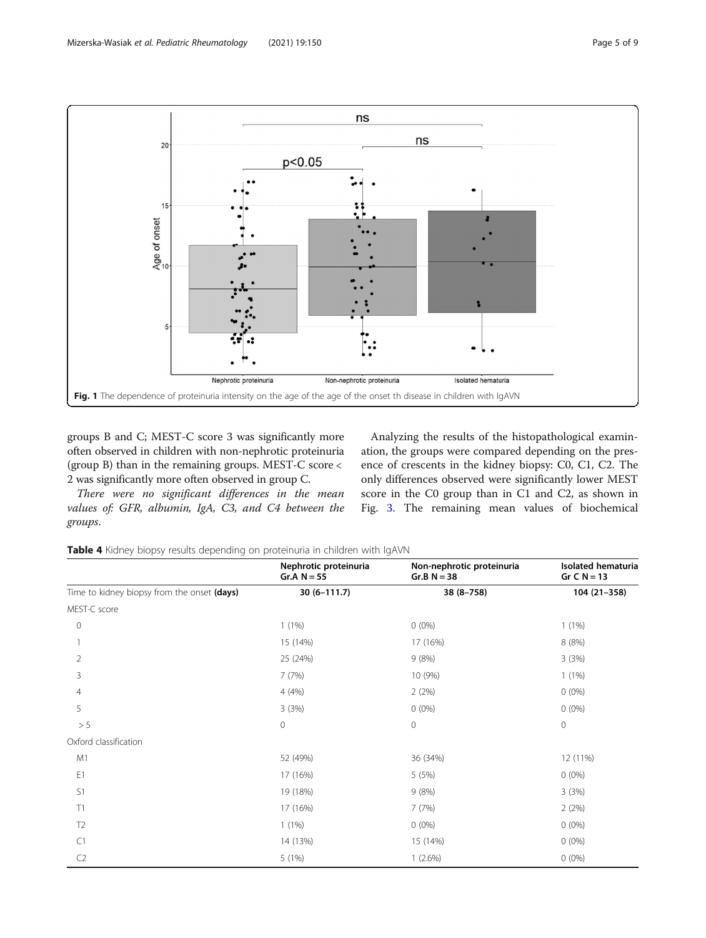<span id="page-4-0"></span>

groups B and C; MEST-C score 3 was significantly more often observed in children with non-nephrotic proteinuria (group B) than in the remaining groups. MEST-C score < 2 was significantly more often observed in group C.

There were no significant differences in the mean values of: GFR, albumin, IgA, C3, and C4 between the groups.

Analyzing the results of the histopathological examination, the groups were compared depending on the presence of crescents in the kidney biopsy: C0, C1, C2. The only differences observed were significantly lower MEST score in the C0 group than in C1 and C2, as shown in Fig. [3](#page-5-0). The remaining mean values of biochemical

Table 4 Kidney biopsy results depending on proteinuria in children with IgAVN

|                                             | Nephrotic proteinuria<br>Gr.A $N = 55$ | Non-nephrotic proteinuria<br>$Gr.B N = 38$ | Isolated hematuria<br>Gr C $N = 13$ |
|---------------------------------------------|----------------------------------------|--------------------------------------------|-------------------------------------|
| Time to kidney biopsy from the onset (days) | $30(6 - 111.7)$                        | $38(8 - 758)$                              | 104 (21-358)                        |
| MEST-C score                                |                                        |                                            |                                     |
| $\mathbf 0$                                 | $1(1\%)$                               | $0(0\%)$                                   | $1(1\%)$                            |
|                                             | 15 (14%)                               | 17 (16%)                                   | 8 (8%)                              |
| $\overline{2}$                              | 25 (24%)                               | 9(8%)                                      | 3(3%)                               |
| 3                                           | 7(7%)                                  | 10 (9%)                                    | $1(1\%)$                            |
| $\overline{4}$                              | 4(4%)                                  | 2(2%)                                      | $0(0\%)$                            |
| 5                                           | 3(3%)                                  | $0(0\%)$                                   | $0(0\%)$                            |
| > 5                                         | $\circ$                                | $\mathbf 0$                                | $\circ$                             |
| Oxford classification                       |                                        |                                            |                                     |
| M1                                          | 52 (49%)                               | 36 (34%)                                   | 12 (11%)                            |
| E1                                          | 17 (16%)                               | 5 (5%)                                     | $0(0\%)$                            |
| S1                                          | 19 (18%)                               | 9(8%)                                      | 3(3%)                               |
| T1                                          | 17 (16%)                               | 7(7%)                                      | 2(2%)                               |
| T <sub>2</sub>                              | $1(1\%)$                               | $0(0\%)$                                   | $0(0\%)$                            |
| C1                                          | 14 (13%)                               | 15 (14%)                                   | $0(0\%)$                            |
| C <sub>2</sub>                              | 5(1%)                                  | $1(2.6\%)$                                 | $0(0\%)$                            |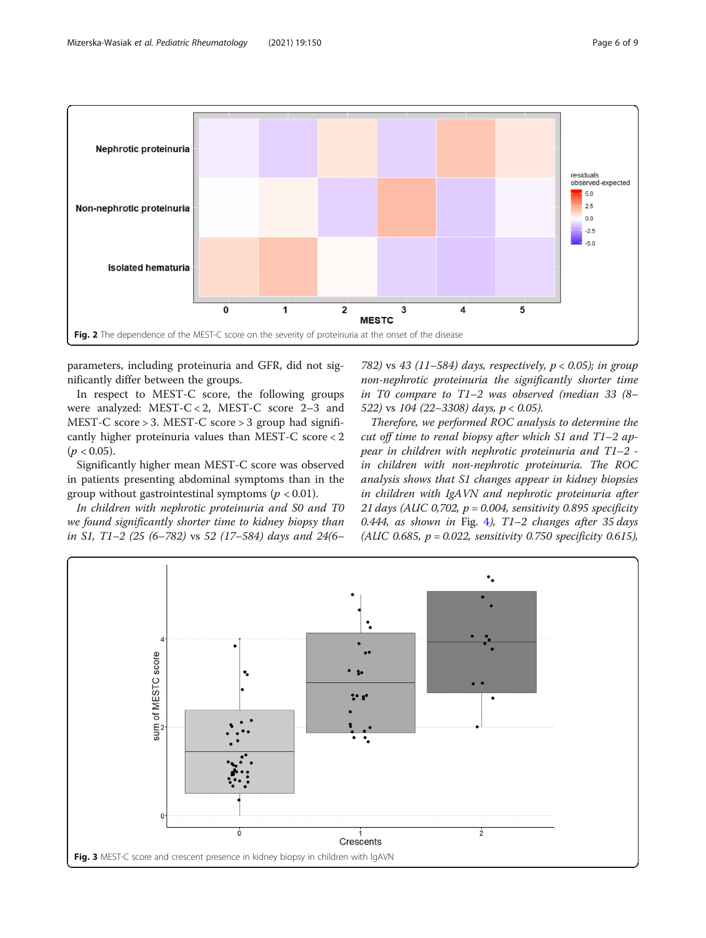<span id="page-5-0"></span>

parameters, including proteinuria and GFR, did not significantly differ between the groups.

In respect to MEST-C score, the following groups were analyzed: MEST-C < 2, MEST-C score 2–3 and MEST-C score > 3. MEST-C score > 3 group had significantly higher proteinuria values than MEST-C score < 2  $(p < 0.05)$ .

Significantly higher mean MEST-C score was observed in patients presenting abdominal symptoms than in the group without gastrointestinal symptoms ( $p < 0.01$ ).

In children with nephrotic proteinuria and S0 and T0 we found significantly shorter time to kidney biopsy than in S1, T1–2 (25 (6–782) vs 52 (17–584) days and 24(6–

782) vs 43 (11–584) days, respectively,  $p < 0.05$ ); in group non-nephrotic proteinuria the significantly shorter time in T0 compare to T1–2 was observed (median 33 (8– 522) vs  $104$  (22-3308) days,  $p < 0.05$ ).

Therefore, we performed ROC analysis to determine the cut off time to renal biopsy after which S1 and  $T1-2$  appear in children with nephrotic proteinuria and T1–2 in children with non-nephrotic proteinuria. The ROC analysis shows that S1 changes appear in kidney biopsies in children with IgAVN and nephrotic proteinuria after 21 days (AUC 0,702,  $p = 0.004$ , sensitivity 0.895 specificity 0.[4](#page-6-0)44, as shown in Fig. 4), T1-2 changes after 35 days (AUC 0.685,  $p = 0.022$ , sensitivity 0.750 specificity 0.615),

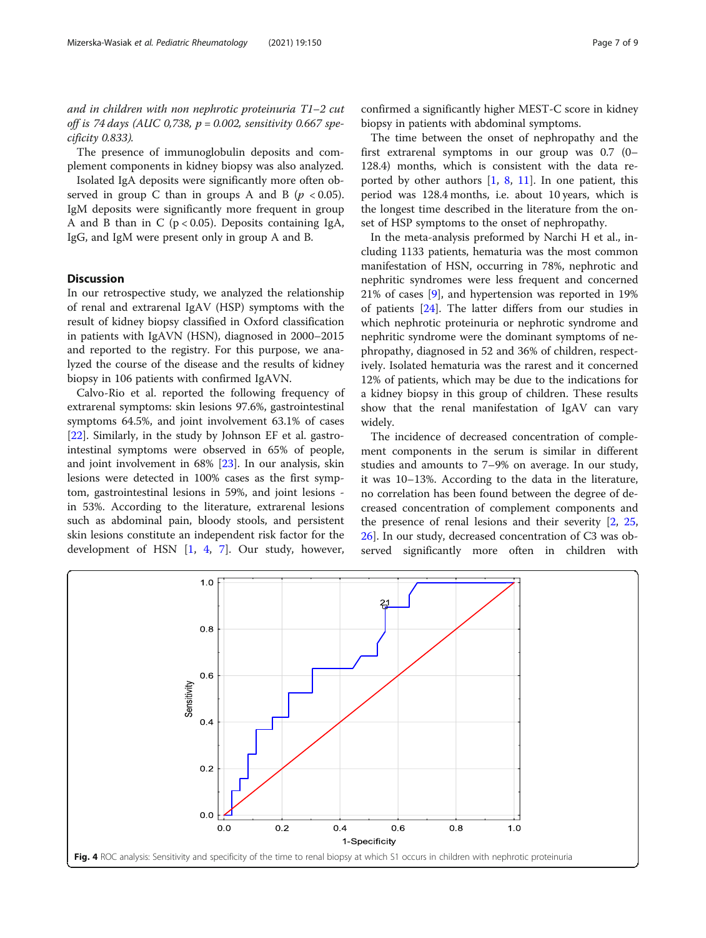<span id="page-6-0"></span>and in children with non nephrotic proteinuria T1–2 cut off is 74 days (AUC 0,738,  $p = 0.002$ , sensitivity 0.667 specificity 0.833).

The presence of immunoglobulin deposits and complement components in kidney biopsy was also analyzed.

Isolated IgA deposits were significantly more often observed in group C than in groups A and B ( $p < 0.05$ ). IgM deposits were significantly more frequent in group A and B than in C ( $p < 0.05$ ). Deposits containing IgA, IgG, and IgM were present only in group A and B.

#### **Discussion**

In our retrospective study, we analyzed the relationship of renal and extrarenal IgAV (HSP) symptoms with the result of kidney biopsy classified in Oxford classification in patients with IgAVN (HSN), diagnosed in 2000–2015 and reported to the registry. For this purpose, we analyzed the course of the disease and the results of kidney biopsy in 106 patients with confirmed IgAVN.

Calvo-Rio et al. reported the following frequency of extrarenal symptoms: skin lesions 97.6%, gastrointestinal symptoms 64.5%, and joint involvement 63.1% of cases [[22\]](#page-8-0). Similarly, in the study by Johnson EF et al. gastrointestinal symptoms were observed in 65% of people, and joint involvement in 68% [\[23](#page-8-0)]. In our analysis, skin lesions were detected in 100% cases as the first symptom, gastrointestinal lesions in 59%, and joint lesions in 53%. According to the literature, extrarenal lesions such as abdominal pain, bloody stools, and persistent skin lesions constitute an independent risk factor for the development of HSN [[1,](#page-7-0) [4,](#page-8-0) [7\]](#page-8-0). Our study, however,

confirmed a significantly higher MEST-C score in kidney biopsy in patients with abdominal symptoms.

The time between the onset of nephropathy and the first extrarenal symptoms in our group was 0.7 (0– 128.4) months, which is consistent with the data reported by other authors  $[1, 8, 11]$  $[1, 8, 11]$  $[1, 8, 11]$  $[1, 8, 11]$  $[1, 8, 11]$ . In one patient, this period was 128.4 months, i.e. about 10 years, which is the longest time described in the literature from the onset of HSP symptoms to the onset of nephropathy.

In the meta-analysis preformed by Narchi H et al., including 1133 patients, hematuria was the most common manifestation of HSN, occurring in 78%, nephrotic and nephritic syndromes were less frequent and concerned 21% of cases [\[9](#page-8-0)], and hypertension was reported in 19% of patients [\[24](#page-8-0)]. The latter differs from our studies in which nephrotic proteinuria or nephrotic syndrome and nephritic syndrome were the dominant symptoms of nephropathy, diagnosed in 52 and 36% of children, respectively. Isolated hematuria was the rarest and it concerned 12% of patients, which may be due to the indications for a kidney biopsy in this group of children. These results show that the renal manifestation of IgAV can vary widely.

The incidence of decreased concentration of complement components in the serum is similar in different studies and amounts to 7–9% on average. In our study, it was 10–13%. According to the data in the literature, no correlation has been found between the degree of decreased concentration of complement components and the presence of renal lesions and their severity [[2,](#page-7-0) [25](#page-8-0), [26\]](#page-8-0). In our study, decreased concentration of C3 was observed significantly more often in children with

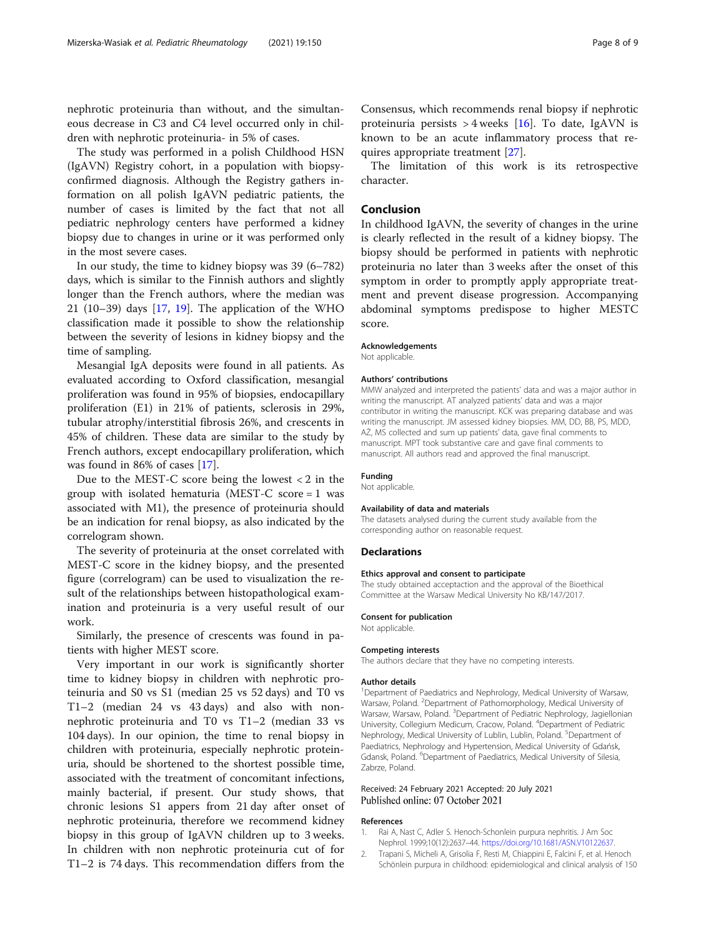<span id="page-7-0"></span>nephrotic proteinuria than without, and the simultaneous decrease in C3 and C4 level occurred only in children with nephrotic proteinuria- in 5% of cases.

The study was performed in a polish Childhood HSN (IgAVN) Registry cohort, in a population with biopsyconfirmed diagnosis. Although the Registry gathers information on all polish IgAVN pediatric patients, the number of cases is limited by the fact that not all pediatric nephrology centers have performed a kidney biopsy due to changes in urine or it was performed only in the most severe cases.

In our study, the time to kidney biopsy was 39 (6–782) days, which is similar to the Finnish authors and slightly longer than the French authors, where the median was 21 (10–39) days [[17](#page-8-0), [19](#page-8-0)]. The application of the WHO classification made it possible to show the relationship between the severity of lesions in kidney biopsy and the time of sampling.

Mesangial IgA deposits were found in all patients. As evaluated according to Oxford classification, mesangial proliferation was found in 95% of biopsies, endocapillary proliferation (E1) in 21% of patients, sclerosis in 29%, tubular atrophy/interstitial fibrosis 26%, and crescents in 45% of children. These data are similar to the study by French authors, except endocapillary proliferation, which was found in 86% of cases [[17\]](#page-8-0).

Due to the MEST-C score being the lowest < 2 in the group with isolated hematuria (MEST-C score = 1 was associated with M1), the presence of proteinuria should be an indication for renal biopsy, as also indicated by the correlogram shown.

The severity of proteinuria at the onset correlated with MEST-C score in the kidney biopsy, and the presented figure (correlogram) can be used to visualization the result of the relationships between histopathological examination and proteinuria is a very useful result of our work.

Similarly, the presence of crescents was found in patients with higher MEST score.

Very important in our work is significantly shorter time to kidney biopsy in children with nephrotic proteinuria and S0 vs S1 (median 25 vs 52 days) and T0 vs T1–2 (median 24 vs 43 days) and also with nonnephrotic proteinuria and T0 vs T1–2 (median 33 vs 104 days). In our opinion, the time to renal biopsy in children with proteinuria, especially nephrotic proteinuria, should be shortened to the shortest possible time, associated with the treatment of concomitant infections, mainly bacterial, if present. Our study shows, that chronic lesions S1 appers from 21 day after onset of nephrotic proteinuria, therefore we recommend kidney biopsy in this group of IgAVN children up to 3 weeks. In children with non nephrotic proteinuria cut of for T1–2 is 74 days. This recommendation differs from the

Consensus, which recommends renal biopsy if nephrotic proteinuria persists  $>$  4 weeks [\[16\]](#page-8-0). To date, IgAVN is known to be an acute inflammatory process that requires appropriate treatment [[27\]](#page-8-0).

The limitation of this work is its retrospective character.

#### Conclusion

In childhood IgAVN, the severity of changes in the urine is clearly reflected in the result of a kidney biopsy. The biopsy should be performed in patients with nephrotic proteinuria no later than 3 weeks after the onset of this symptom in order to promptly apply appropriate treatment and prevent disease progression. Accompanying abdominal symptoms predispose to higher MESTC score.

#### Acknowledgements

Not applicable.

#### Authors' contributions

MMW analyzed and interpreted the patients' data and was a major author in writing the manuscript. AT analyzed patients' data and was a major contributor in writing the manuscript. KCK was preparing database and was writing the manuscript. JM assessed kidney biopsies. MM, DD, BB, PS, MDD, AŻ, MS collected and sum up patients' data, gave final comments to manuscript. MPT took substantive care and gave final comments to manuscript. All authors read and approved the final manuscript.

#### Funding

Not applicable.

#### Availability of data and materials

The datasets analysed during the current study available from the corresponding author on reasonable request.

#### Declarations

#### Ethics approval and consent to participate

The study obtained acceptaction and the approval of the Bioethical Committee at the Warsaw Medical University No KB/147/2017.

#### Consent for publication

Not applicable.

#### Competing interests

The authors declare that they have no competing interests.

#### Author details

<sup>1</sup>Department of Paediatrics and Nephrology, Medical University of Warsaw Warsaw, Poland. <sup>2</sup>Department of Pathomorphology, Medical University of Warsaw, Warsaw, Poland. <sup>3</sup>Department of Pediatric Nephrology, Jagiellonian University, Collegium Medicum, Cracow, Poland. <sup>4</sup> Department of Pediatric Nephrology, Medical University of Lublin, Lublin, Poland. <sup>5</sup>Department of Paediatrics, Nephrology and Hypertension, Medical University of Gdańsk, Gdansk, Poland. <sup>6</sup>Department of Paediatrics, Medical University of Silesia, Zabrze, Poland.

#### Received: 24 February 2021 Accepted: 20 July 2021 Published online: 07 October 2021

#### References

- 1. Rai A, Nast C, Adler S. Henoch-Schonlein purpura nephritis. J Am Soc Nephrol. 1999;10(12):2637–44. [https://doi.org/10.1681/ASN.V10122637.](https://doi.org/10.1681/ASN.V10122637)
- 2. Trapani S, Micheli A, Grisolia F, Resti M, Chiappini E, Falcini F, et al. Henoch Schönlein purpura in childhood: epidemiological and clinical analysis of 150